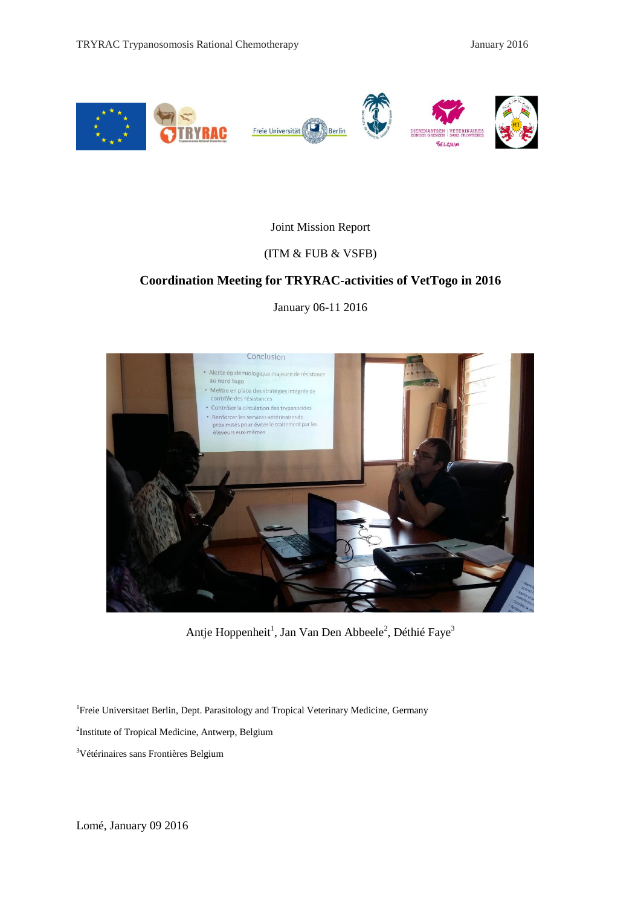

### Joint Mission Report

### (ITM & FUB & VSFB)

### **Coordination Meeting for TRYRAC-activities of VetTogo in 2016**

January 06-11 2016



Antje Hoppenheit<sup>1</sup>, Jan Van Den Abbeele<sup>2</sup>, Déthié Faye<sup>3</sup>

<sup>1</sup> Freie Universitaet Berlin, Dept. Parasitology and Tropical Veterinary Medicine, Germany

<sup>2</sup>Institute of Tropical Medicine, Antwerp, Belgium

<sup>3</sup>Vétérinaires sans Frontières Belgium

Lomé, January 09 2016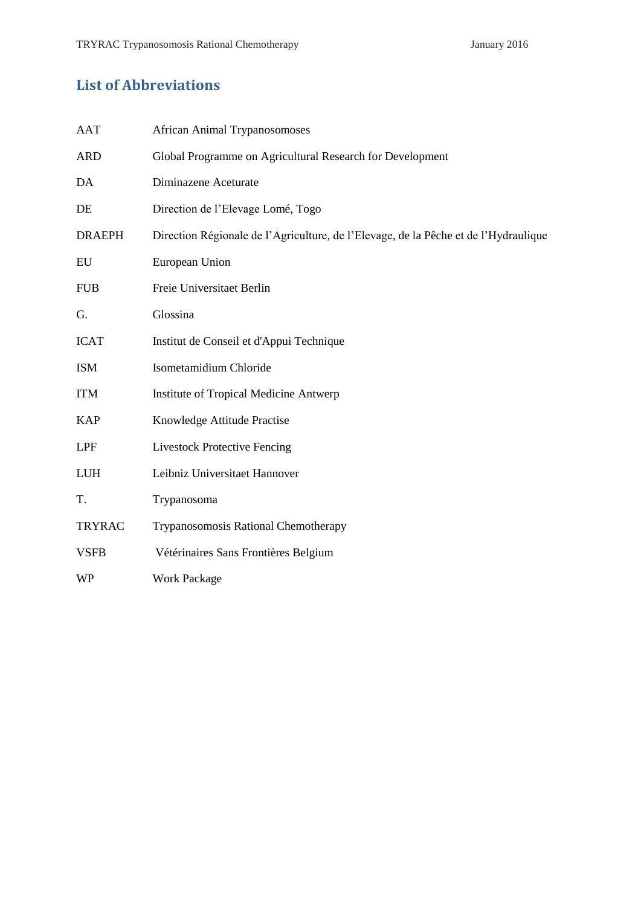# **List of Abbreviations**

| AAT           | <b>African Animal Trypanosomoses</b>                                                |
|---------------|-------------------------------------------------------------------------------------|
| <b>ARD</b>    | Global Programme on Agricultural Research for Development                           |
| DA            | Diminazene Aceturate                                                                |
| DE            | Direction de l'Elevage Lomé, Togo                                                   |
| <b>DRAEPH</b> | Direction Régionale de l'Agriculture, de l'Elevage, de la Pêche et de l'Hydraulique |
| EU            | European Union                                                                      |
| <b>FUB</b>    | Freie Universitaet Berlin                                                           |
| G.            | Glossina                                                                            |
| <b>ICAT</b>   | Institut de Conseil et d'Appui Technique                                            |
| <b>ISM</b>    | Isometamidium Chloride                                                              |
| <b>ITM</b>    | <b>Institute of Tropical Medicine Antwerp</b>                                       |
| <b>KAP</b>    | Knowledge Attitude Practise                                                         |
| <b>LPF</b>    | <b>Livestock Protective Fencing</b>                                                 |
| <b>LUH</b>    | Leibniz Universitaet Hannover                                                       |
| T.            | Trypanosoma                                                                         |
| <b>TRYRAC</b> | Trypanosomosis Rational Chemotherapy                                                |
| <b>VSFB</b>   | Vétérinaires Sans Frontières Belgium                                                |
| WP            | <b>Work Package</b>                                                                 |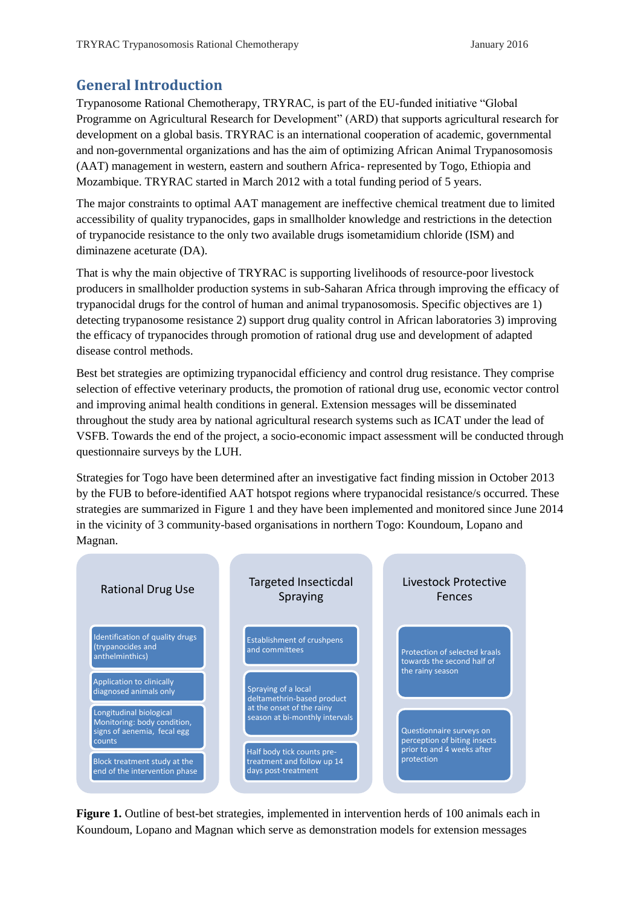## **General Introduction**

Trypanosome Rational Chemotherapy, TRYRAC, is part of the EU-funded initiative "Global Programme on Agricultural Research for Development" (ARD) that supports agricultural research for development on a global basis. TRYRAC is an international cooperation of academic, governmental and non-governmental organizations and has the aim of optimizing African Animal Trypanosomosis (AAT) management in western, eastern and southern Africa- represented by Togo, Ethiopia and Mozambique. TRYRAC started in March 2012 with a total funding period of 5 years.

The major constraints to optimal AAT management are ineffective chemical treatment due to limited accessibility of quality trypanocides, gaps in smallholder knowledge and restrictions in the detection of trypanocide resistance to the only two available drugs isometamidium chloride (ISM) and diminazene aceturate (DA).

That is why the main objective of TRYRAC is supporting livelihoods of resource-poor livestock producers in smallholder production systems in sub-Saharan Africa through improving the efficacy of trypanocidal drugs for the control of human and animal trypanosomosis. Specific objectives are 1) detecting trypanosome resistance 2) support drug quality control in African laboratories 3) improving the efficacy of trypanocides through promotion of rational drug use and development of adapted disease control methods.

Best bet strategies are optimizing trypanocidal efficiency and control drug resistance. They comprise selection of effective veterinary products, the promotion of rational drug use, economic vector control and improving animal health conditions in general. Extension messages will be disseminated throughout the study area by national agricultural research systems such as ICAT under the lead of VSFB. Towards the end of the project, a socio-economic impact assessment will be conducted through questionnaire surveys by the LUH.

Strategies for Togo have been determined after an investigative fact finding mission in October 2013 by the FUB to before-identified AAT hotspot regions where trypanocidal resistance/s occurred. These strategies are summarized in Figure 1 and they have been implemented and monitored since June 2014 in the vicinity of 3 community-based organisations in northern Togo: Koundoum, Lopano and Magnan.



**Figure 1.** Outline of best-bet strategies, implemented in intervention herds of 100 animals each in Koundoum, Lopano and Magnan which serve as demonstration models for extension messages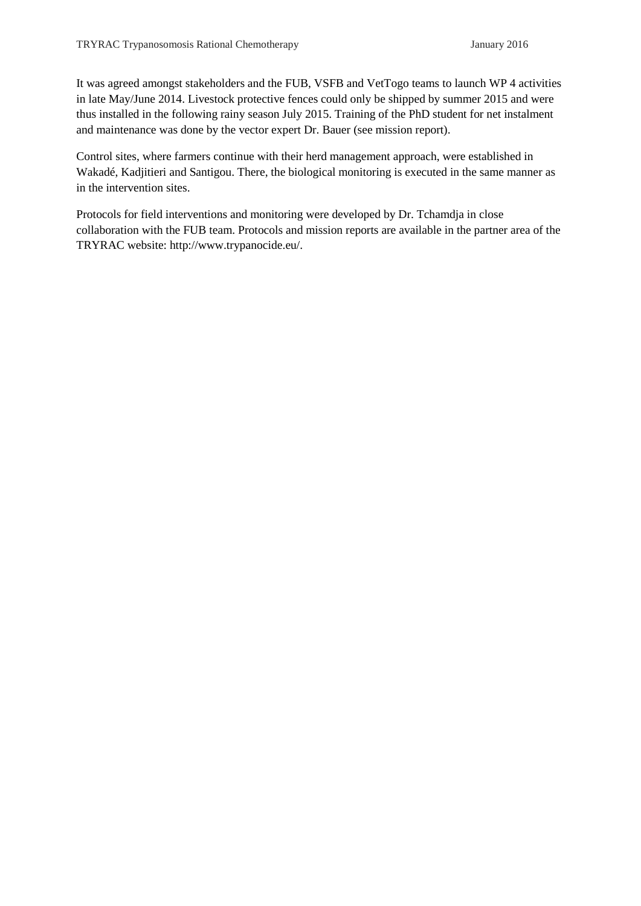It was agreed amongst stakeholders and the FUB, VSFB and VetTogo teams to launch WP 4 activities in late May/June 2014. Livestock protective fences could only be shipped by summer 2015 and were thus installed in the following rainy season July 2015. Training of the PhD student for net instalment and maintenance was done by the vector expert Dr. Bauer (see mission report).

Control sites, where farmers continue with their herd management approach, were established in Wakadé, Kadjitieri and Santigou. There, the biological monitoring is executed in the same manner as in the intervention sites.

Protocols for field interventions and monitoring were developed by Dr. Tchamdja in close collaboration with the FUB team. Protocols and mission reports are available in the partner area of the TRYRAC website: http://www.trypanocide.eu/.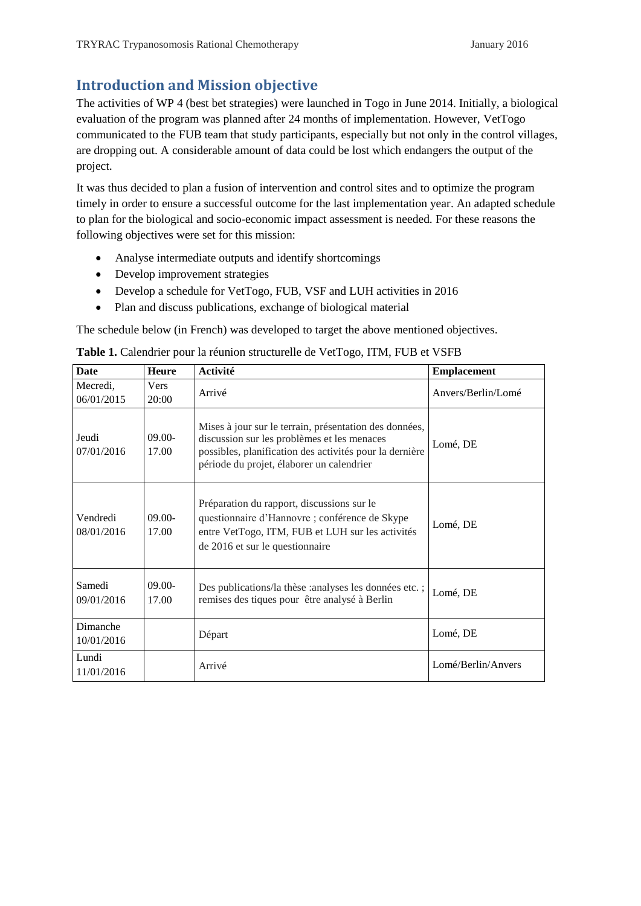# **Introduction and Mission objective**

The activities of WP 4 (best bet strategies) were launched in Togo in June 2014. Initially, a biological evaluation of the program was planned after 24 months of implementation. However, VetTogo communicated to the FUB team that study participants, especially but not only in the control villages, are dropping out. A considerable amount of data could be lost which endangers the output of the project.

It was thus decided to plan a fusion of intervention and control sites and to optimize the program timely in order to ensure a successful outcome for the last implementation year. An adapted schedule to plan for the biological and socio-economic impact assessment is needed. For these reasons the following objectives were set for this mission:

- Analyse intermediate outputs and identify shortcomings
- Develop improvement strategies
- Develop a schedule for VetTogo, FUB, VSF and LUH activities in 2016
- Plan and discuss publications, exchange of biological material

The schedule below (in French) was developed to target the above mentioned objectives.

| <b>Date</b>            | <b>Heure</b>       | Activité                                                                                                                                                                                                      | <b>Emplacement</b> |
|------------------------|--------------------|---------------------------------------------------------------------------------------------------------------------------------------------------------------------------------------------------------------|--------------------|
| Mecredi,<br>06/01/2015 | Vers<br>20:00      | Arrivé                                                                                                                                                                                                        | Anvers/Berlin/Lomé |
| Jeudi<br>07/01/2016    | $09.00 -$<br>17.00 | Mises à jour sur le terrain, présentation des données,<br>discussion sur les problèmes et les menaces<br>possibles, planification des activités pour la dernière<br>période du projet, élaborer un calendrier | Lomé, DE           |
| Vendredi<br>08/01/2016 | $09.00 -$<br>17.00 | Préparation du rapport, discussions sur le<br>questionnaire d'Hannovre ; conférence de Skype<br>entre VetTogo, ITM, FUB et LUH sur les activités<br>de 2016 et sur le questionnaire                           | Lomé, DE           |
| Samedi<br>09/01/2016   | $09.00 -$<br>17.00 | Des publications/la thèse : analyses les données etc. ;<br>remises des tiques pour être analysé à Berlin                                                                                                      | Lomé, DE           |
| Dimanche<br>10/01/2016 |                    | Départ                                                                                                                                                                                                        | Lomé, DE           |
| Lundi<br>11/01/2016    |                    | Arrivé                                                                                                                                                                                                        | Lomé/Berlin/Anvers |

**Table 1.** Calendrier pour la réunion structurelle de VetTogo, ITM, FUB et VSFB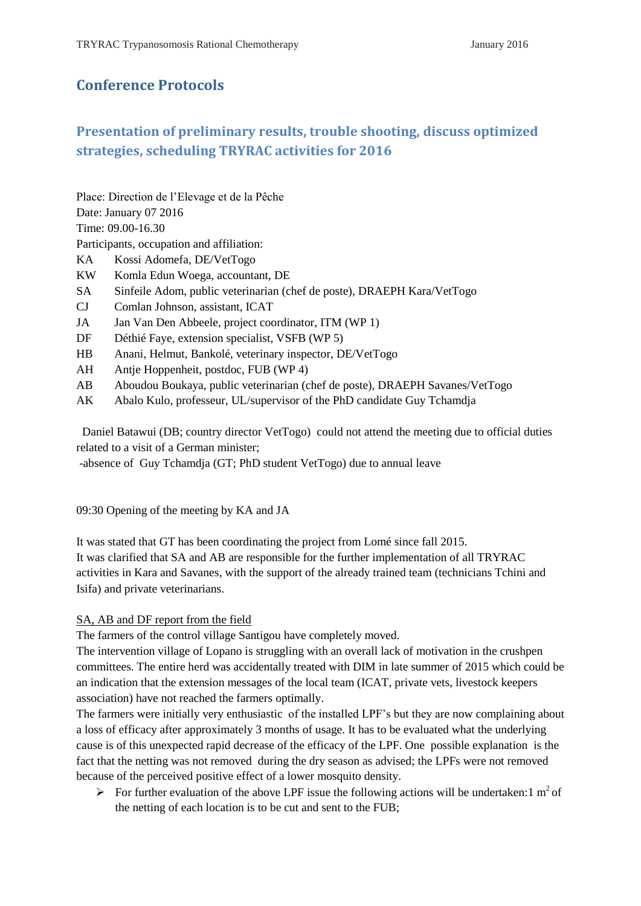### **Conference Protocols**

### **Presentation of preliminary results, trouble shooting, discuss optimized strategies, scheduling TRYRAC activities for 2016**

Place: Direction de l'Elevage et de la Pêche

Date: January 07 2016

Time: 09.00-16.30

Participants, occupation and affiliation:

- KA Kossi Adomefa, DE/VetTogo
- KW Komla Edun Woega, accountant, DE
- SA Sinfeile Adom, public veterinarian (chef de poste), DRAEPH Kara/VetTogo
- CJ Comlan Johnson, assistant, ICAT
- JA Jan Van Den Abbeele, project coordinator, ITM (WP 1)
- DF Déthié Faye, extension specialist, VSFB (WP 5)
- HB Anani, Helmut, Bankolé, veterinary inspector, DE/VetTogo
- AH Antje Hoppenheit, postdoc, FUB (WP 4)
- AB Aboudou Boukaya, public veterinarian (chef de poste), DRAEPH Savanes/VetTogo
- AK Abalo Kulo, professeur, UL/supervisor of the PhD candidate Guy Tchamdja

Daniel Batawui (DB; country director VetTogo) could not attend the meeting due to official duties related to a visit of a German minister;

-absence of Guy Tchamdja (GT; PhD student VetTogo) due to annual leave

09:30 Opening of the meeting by KA and JA

It was stated that GT has been coordinating the project from Lomé since fall 2015. It was clarified that SA and AB are responsible for the further implementation of all TRYRAC activities in Kara and Savanes, with the support of the already trained team (technicians Tchini and Isifa) and private veterinarians.

### SA, AB and DF report from the field

The farmers of the control village Santigou have completely moved.

The intervention village of Lopano is struggling with an overall lack of motivation in the crushpen committees. The entire herd was accidentally treated with DIM in late summer of 2015 which could be an indication that the extension messages of the local team (ICAT, private vets, livestock keepers association) have not reached the farmers optimally.

The farmers were initially very enthusiastic of the installed LPF's but they are now complaining about a loss of efficacy after approximately 3 months of usage. It has to be evaluated what the underlying cause is of this unexpected rapid decrease of the efficacy of the LPF. One possible explanation is the fact that the netting was not removed during the dry season as advised; the LPFs were not removed because of the perceived positive effect of a lower mosquito density.

 $\triangleright$  For further evaluation of the above LPF issue the following actions will be undertaken: 1 m<sup>2</sup> of the netting of each location is to be cut and sent to the FUB;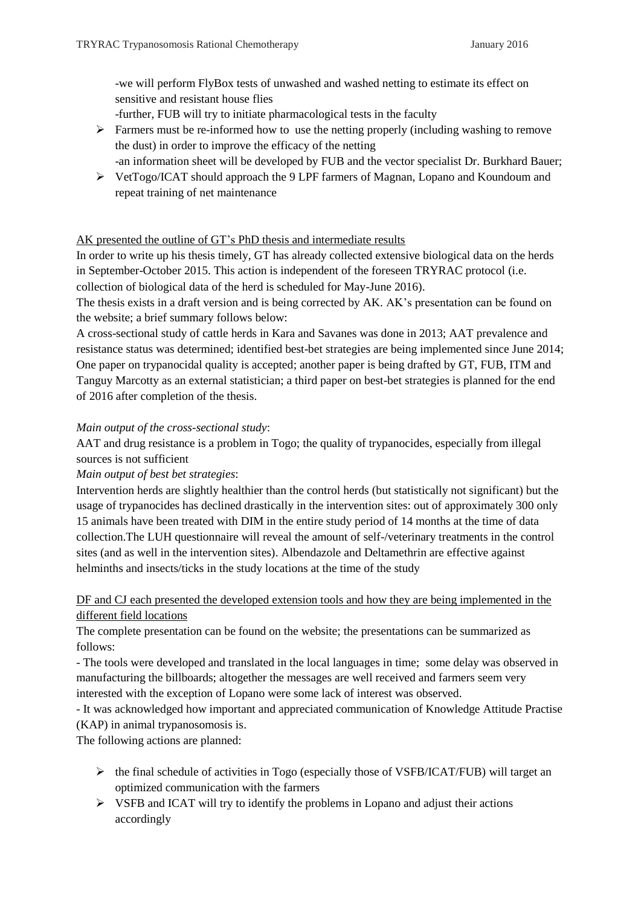-we will perform FlyBox tests of unwashed and washed netting to estimate its effect on sensitive and resistant house flies

-further, FUB will try to initiate pharmacological tests in the faculty

- Farmers must be re-informed how to use the netting properly (including washing to remove the dust) in order to improve the efficacy of the netting
	- -an information sheet will be developed by FUB and the vector specialist Dr. Burkhard Bauer;
- VetTogo/ICAT should approach the 9 LPF farmers of Magnan, Lopano and Koundoum and repeat training of net maintenance

### AK presented the outline of GT's PhD thesis and intermediate results

In order to write up his thesis timely, GT has already collected extensive biological data on the herds in September-October 2015. This action is independent of the foreseen TRYRAC protocol (i.e. collection of biological data of the herd is scheduled for May-June 2016).

The thesis exists in a draft version and is being corrected by AK. AK's presentation can be found on the website; a brief summary follows below:

A cross-sectional study of cattle herds in Kara and Savanes was done in 2013; AAT prevalence and resistance status was determined; identified best-bet strategies are being implemented since June 2014; One paper on trypanocidal quality is accepted; another paper is being drafted by GT, FUB, ITM and Tanguy Marcotty as an external statistician; a third paper on best-bet strategies is planned for the end of 2016 after completion of the thesis.

#### *Main output of the cross-sectional study*:

AAT and drug resistance is a problem in Togo; the quality of trypanocides, especially from illegal sources is not sufficient

*Main output of best bet strategies*:

Intervention herds are slightly healthier than the control herds (but statistically not significant) but the usage of trypanocides has declined drastically in the intervention sites: out of approximately 300 only 15 animals have been treated with DIM in the entire study period of 14 months at the time of data collection.The LUH questionnaire will reveal the amount of self-/veterinary treatments in the control sites (and as well in the intervention sites). Albendazole and Deltamethrin are effective against helminths and insects/ticks in the study locations at the time of the study

### DF and CJ each presented the developed extension tools and how they are being implemented in the different field locations

The complete presentation can be found on the website; the presentations can be summarized as follows:

- The tools were developed and translated in the local languages in time; some delay was observed in manufacturing the billboards; altogether the messages are well received and farmers seem very interested with the exception of Lopano were some lack of interest was observed.

- It was acknowledged how important and appreciated communication of Knowledge Attitude Practise (KAP) in animal trypanosomosis is.

The following actions are planned:

- $\triangleright$  the final schedule of activities in Togo (especially those of VSFB/ICAT/FUB) will target an optimized communication with the farmers
- $\triangleright$  VSFB and ICAT will try to identify the problems in Lopano and adjust their actions accordingly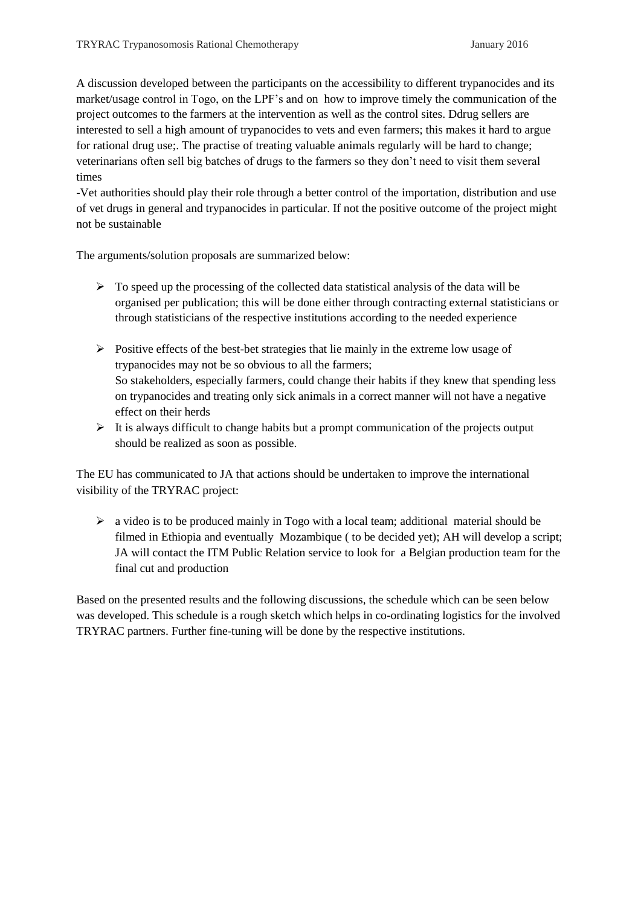A discussion developed between the participants on the accessibility to different trypanocides and its market/usage control in Togo, on the LPF's and on how to improve timely the communication of the project outcomes to the farmers at the intervention as well as the control sites. Ddrug sellers are interested to sell a high amount of trypanocides to vets and even farmers; this makes it hard to argue for rational drug use;. The practise of treating valuable animals regularly will be hard to change; veterinarians often sell big batches of drugs to the farmers so they don't need to visit them several times

-Vet authorities should play their role through a better control of the importation, distribution and use of vet drugs in general and trypanocides in particular. If not the positive outcome of the project might not be sustainable

The arguments/solution proposals are summarized below:

- $\triangleright$  To speed up the processing of the collected data statistical analysis of the data will be organised per publication; this will be done either through contracting external statisticians or through statisticians of the respective institutions according to the needed experience
- $\triangleright$  Positive effects of the best-bet strategies that lie mainly in the extreme low usage of trypanocides may not be so obvious to all the farmers; So stakeholders, especially farmers, could change their habits if they knew that spending less on trypanocides and treating only sick animals in a correct manner will not have a negative effect on their herds
- $\triangleright$  It is always difficult to change habits but a prompt communication of the projects output should be realized as soon as possible.

The EU has communicated to JA that actions should be undertaken to improve the international visibility of the TRYRAC project:

 $\triangleright$  a video is to be produced mainly in Togo with a local team; additional material should be filmed in Ethiopia and eventually Mozambique ( to be decided yet); AH will develop a script; JA will contact the ITM Public Relation service to look for a Belgian production team for the final cut and production

Based on the presented results and the following discussions, the schedule which can be seen below was developed. This schedule is a rough sketch which helps in co-ordinating logistics for the involved TRYRAC partners. Further fine-tuning will be done by the respective institutions.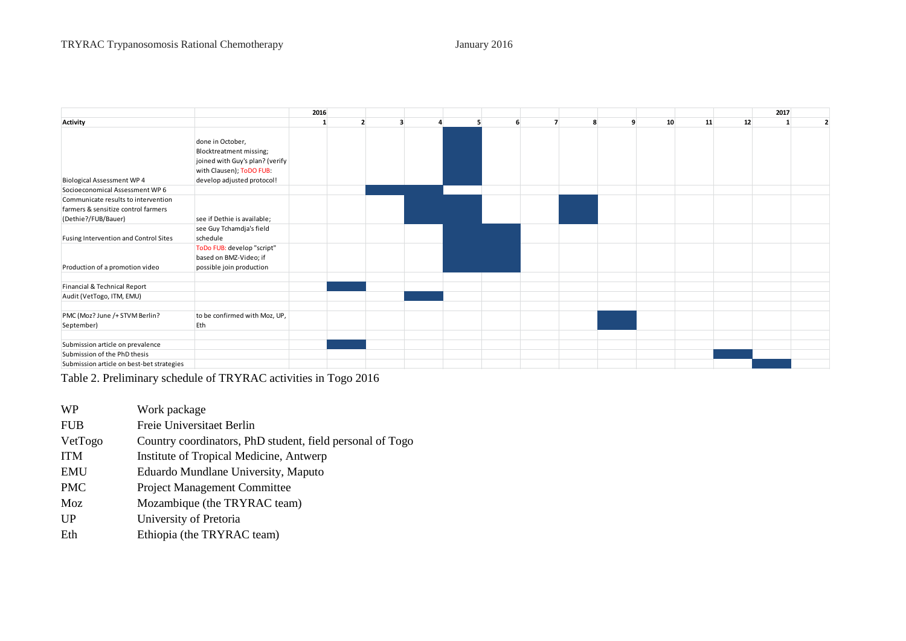|                                                                                                   |                                                                                                                                          | 2016 |  |  |   |   |                |   |    |    |    | 2017         |  |
|---------------------------------------------------------------------------------------------------|------------------------------------------------------------------------------------------------------------------------------------------|------|--|--|---|---|----------------|---|----|----|----|--------------|--|
| Activity                                                                                          |                                                                                                                                          |      |  |  | 5 | 6 | $\overline{7}$ | q | 10 | 11 | 12 | $\mathbf{1}$ |  |
| <b>Biological Assessment WP 4</b>                                                                 | done in October,<br>Blocktreatment missing;<br>joined with Guy's plan? (verify<br>with Clausen); ToDO FUB:<br>develop adjusted protocol! |      |  |  |   |   |                |   |    |    |    |              |  |
| Socioeconomical Assessment WP 6                                                                   |                                                                                                                                          |      |  |  |   |   |                |   |    |    |    |              |  |
| Communicate results to intervention<br>farmers & sensitize control farmers<br>(Dethie?/FUB/Bauer) | see if Dethie is available;                                                                                                              |      |  |  |   |   |                |   |    |    |    |              |  |
| Fusing Intervention and Control Sites                                                             | see Guy Tchamdja's field<br>schedule                                                                                                     |      |  |  |   |   |                |   |    |    |    |              |  |
| Production of a promotion video                                                                   | ToDo FUB: develop "script"<br>based on BMZ-Video; if<br>possible join production                                                         |      |  |  |   |   |                |   |    |    |    |              |  |
| Financial & Technical Report                                                                      |                                                                                                                                          |      |  |  |   |   |                |   |    |    |    |              |  |
| Audit (VetTogo, ITM, EMU)                                                                         |                                                                                                                                          |      |  |  |   |   |                |   |    |    |    |              |  |
| PMC (Moz? June /+ STVM Berlin?<br>September)                                                      | to be confirmed with Moz, UP,<br>Eth                                                                                                     |      |  |  |   |   |                |   |    |    |    |              |  |
| Submission article on prevalence                                                                  |                                                                                                                                          |      |  |  |   |   |                |   |    |    |    |              |  |
| Submission of the PhD thesis<br>Submission article on best-bet strategies                         |                                                                                                                                          |      |  |  |   |   |                |   |    |    |    |              |  |

Table 2. Preliminary schedule of TRYRAC activities in Togo 2016

- WP Work package FUB Freie Universitaet Berlin VetTogo Country coordinators, PhD student, field personal of Togo ITM Institute of Tropical Medicine, Antwerp EMU Eduardo Mundlane University, Maputo PMC Project Management Committee Moz Mozambique (the TRYRAC team) UP University of Pretoria
- Eth Ethiopia (the TRYRAC team)